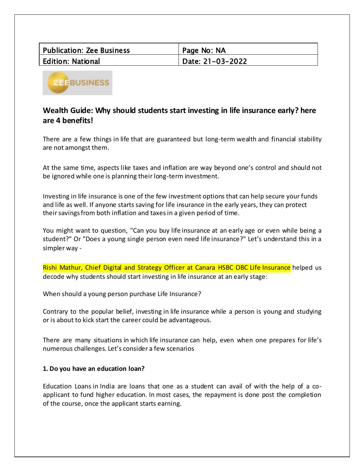| Publication: Zee Business | Page No: NA        |
|---------------------------|--------------------|
| Edition: National         | Date: 21-03-2022 D |



# **Wealth Guide: Why should students start investing in life insurance early? here are 4 benefits!**

There are a few things in life that are guaranteed but long-term wealth and financial stability are not amongst them.

At the same time, aspects like taxes and inflation are way beyond one's control and should not be ignored while one is planning their long-term investment.

Investing in life insurance is one of the few investment options that can help secure your funds and life as well. If anyone starts saving for life insurance in the early years, they can protect their savings from both inflation and taxesin a given period of time.

You might want to question, "Can you buy life insurance at an early age or even while being a student?" Or "Does a young single person even need life insurance?" Let's understand this in a simpler way -

Rishi Mathur, Chief Digital and Strategy Officer at Canara HSBC OBC Life Insurance helped us decode why students should start investing in life insurance at an early stage:

When should a young person purchase Life Insurance?

Contrary to the popular belief, investing in life insurance while a person is young and studying or is about to kick start the career could be advantageous.

There are many situations in which life insurance can help, even when one prepares for life's numerous challenges. Let's consider a few scenarios

## **1. Do you have an education loan?**

Education Loans in India are loans that one as a student can avail of with the help of a coapplicant to fund higher education. In most cases, the repayment is done post the completion of the course, once the applicant starts earning.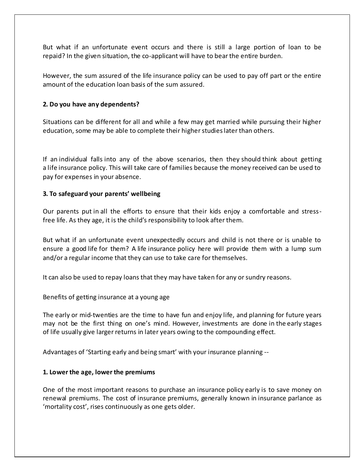But what if an unfortunate event occurs and there is still a large portion of loan to be repaid? In the given situation, the co-applicant will have to bear the entire burden.

However, the sum assured of the life insurance policy can be used to pay off part or the entire amount of the education loan basis of the sum assured.

# **2. Do you have any dependents?**

Situations can be different for all and while a few may get married while pursuing their higher education, some may be able to complete their higher studies later than others.

If an individual falls into any of the above scenarios, then they should think about getting a life insurance policy. This will take care of families because the money received can be used to pay for expenses in your absence.

## **3. To safeguard your parents' wellbeing**

Our parents put in all the efforts to ensure that their kids enjoy a comfortable and stressfree life. As they age, it is the child's responsibility to look after them.

But what if an unfortunate event unexpectedly occurs and child is not there or is unable to ensure a good life for them? A life insurance policy here will provide them with a lump sum and/or a regular income that they can use to take care for themselves.

It can also be used to repay loans that they may have taken for any or sundry reasons.

## Benefits of getting insurance at a young age

The early or mid-twenties are the time to have fun and enjoy life, and planning for future years may not be the first thing on one's mind. However, investments are done in the early stages of life usually give larger returns in later years owing to the compounding effect.

Advantages of 'Starting early and being smart' with your insurance planning --

## **1. Lower the age, lower the premiums**

One of the most important reasons to purchase an insurance policy early is to save money on renewal premiums. The cost of insurance premiums, generally known in insurance parlance as 'mortality cost', rises continuously as one gets older.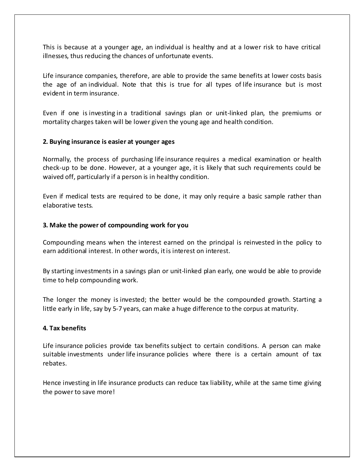This is because at a younger age, an individual is healthy and at a lower risk to have critical illnesses, thus reducing the chances of unfortunate events.

Life insurance companies, therefore, are able to provide the same benefits at lower costs basis the age of an individual. Note that this is true for all types of life insurance but is most evident in term insurance.

Even if one is investing in a traditional savings plan or unit-linked plan, the premiums or mortality charges taken will be lower given the young age and health condition.

#### **2. Buying insurance is easier at younger ages**

Normally, the process of purchasing life insurance requires a medical examination or health check-up to be done. However, at a younger age, it is likely that such requirements could be waived off, particularly if a person is in healthy condition.

Even if medical tests are required to be done, it may only require a basic sample rather than elaborative tests.

#### **3. Make the power of compounding work for you**

Compounding means when the interest earned on the principal is reinvested in the policy to earn additional interest. In other words, it is interest on interest.

By starting investments in a savings plan or unit-linked plan early, one would be able to provide time to help compounding work.

The longer the money is invested; the better would be the compounded growth. Starting a little early in life, say by 5-7 years, can make a huge difference to the corpus at maturity.

#### **4. Tax benefits**

Life insurance policies provide tax benefits subject to certain conditions. A person can make suitable investments under life insurance policies where there is a certain amount of tax rebates.

Hence investing in life insurance products can reduce tax liability, while at the same time giving the power to save more!